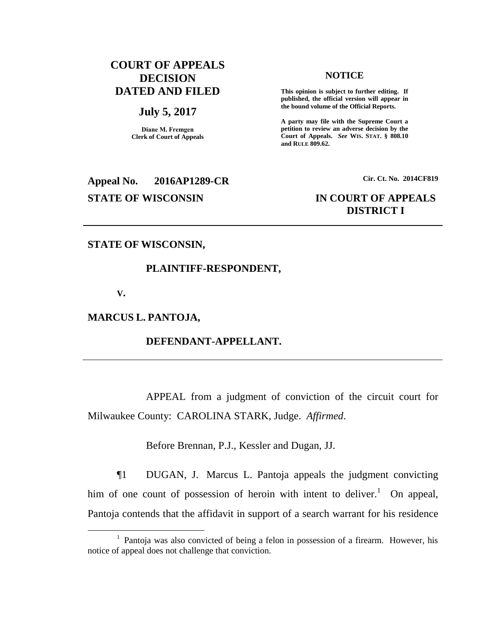# **COURT OF APPEALS DECISION DATED AND FILED**

#### **July 5, 2017**

**Diane M. Fremgen Clerk of Court of Appeals**

## **NOTICE**

**This opinion is subject to further editing. If published, the official version will appear in the bound volume of the Official Reports.** 

**A party may file with the Supreme Court a petition to review an adverse decision by the Court of Appeals.** *See* **WIS. STAT. § 808.10 and RULE 809.62.** 

**Appeal No. 2016AP1289-CR Cir. Ct. No. 2014CF819 STATE OF WISCONSIN IN COURT OF APPEALS**

# **DISTRICT I**

## **STATE OF WISCONSIN,**

## **PLAINTIFF-RESPONDENT,**

**V.**

 $\overline{a}$ 

## **MARCUS L. PANTOJA,**

## **DEFENDANT-APPELLANT.**

APPEAL from a judgment of conviction of the circuit court for Milwaukee County: CAROLINA STARK, Judge. *Affirmed*.

Before Brennan, P.J., Kessler and Dugan, JJ.

¶1 DUGAN, J. Marcus L. Pantoja appeals the judgment convicting him of one count of possession of heroin with intent to deliver.<sup>1</sup> On appeal, Pantoja contends that the affidavit in support of a search warrant for his residence

<sup>&</sup>lt;sup>1</sup> Pantoja was also convicted of being a felon in possession of a firearm. However, his notice of appeal does not challenge that conviction.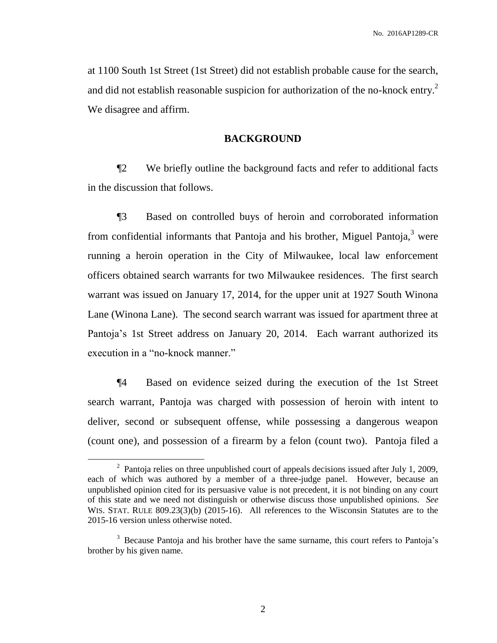at 1100 South 1st Street (1st Street) did not establish probable cause for the search, and did not establish reasonable suspicion for authorization of the no-knock entry.<sup>2</sup> We disagree and affirm.

## **BACKGROUND**

¶2 We briefly outline the background facts and refer to additional facts in the discussion that follows.

¶3 Based on controlled buys of heroin and corroborated information from confidential informants that Pantoja and his brother, Miguel Pantoja, $3$  were running a heroin operation in the City of Milwaukee, local law enforcement officers obtained search warrants for two Milwaukee residences. The first search warrant was issued on January 17, 2014, for the upper unit at 1927 South Winona Lane (Winona Lane). The second search warrant was issued for apartment three at Pantoja's 1st Street address on January 20, 2014. Each warrant authorized its execution in a "no-knock manner."

¶4 Based on evidence seized during the execution of the 1st Street search warrant, Pantoja was charged with possession of heroin with intent to deliver, second or subsequent offense, while possessing a dangerous weapon (count one), and possession of a firearm by a felon (count two). Pantoja filed a

 $\overline{a}$ 

<sup>&</sup>lt;sup>2</sup> Pantoja relies on three unpublished court of appeals decisions issued after July 1, 2009, each of which was authored by a member of a three-judge panel. However, because an unpublished opinion cited for its persuasive value is not precedent, it is not binding on any court of this state and we need not distinguish or otherwise discuss those unpublished opinions. *See*  WIS. STAT. RULE 809.23(3)(b) (2015-16). All references to the Wisconsin Statutes are to the 2015-16 version unless otherwise noted.

<sup>&</sup>lt;sup>3</sup> Because Pantoja and his brother have the same surname, this court refers to Pantoja's brother by his given name.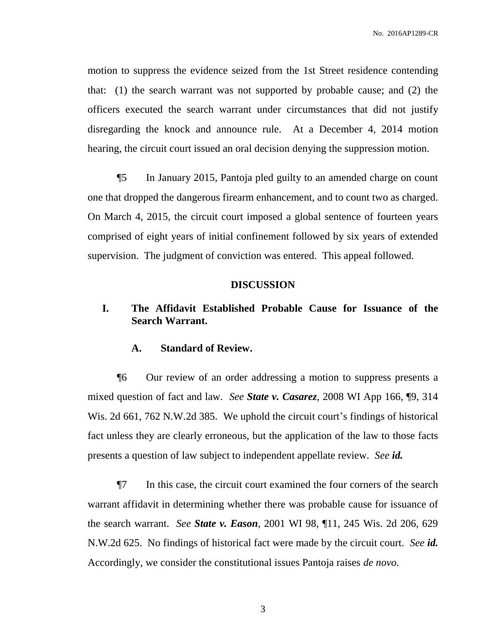motion to suppress the evidence seized from the 1st Street residence contending that: (1) the search warrant was not supported by probable cause; and (2) the officers executed the search warrant under circumstances that did not justify disregarding the knock and announce rule. At a December 4, 2014 motion hearing, the circuit court issued an oral decision denying the suppression motion.

¶5 In January 2015, Pantoja pled guilty to an amended charge on count one that dropped the dangerous firearm enhancement, and to count two as charged. On March 4, 2015, the circuit court imposed a global sentence of fourteen years comprised of eight years of initial confinement followed by six years of extended supervision. The judgment of conviction was entered. This appeal followed.

#### **DISCUSSION**

# **I. The Affidavit Established Probable Cause for Issuance of the Search Warrant.**

## **A. Standard of Review.**

¶6 Our review of an order addressing a motion to suppress presents a mixed question of fact and law. *See State v. Casarez*, 2008 WI App 166, ¶9, 314 Wis. 2d 661, 762 N.W.2d 385. We uphold the circuit court's findings of historical fact unless they are clearly erroneous, but the application of the law to those facts presents a question of law subject to independent appellate review. *See id.*

¶7 In this case, the circuit court examined the four corners of the search warrant affidavit in determining whether there was probable cause for issuance of the search warrant. *See State v. Eason*, 2001 WI 98, ¶11, 245 Wis. 2d 206, 629 N.W.2d 625. No findings of historical fact were made by the circuit court. *See id.* Accordingly, we consider the constitutional issues Pantoja raises *de novo*.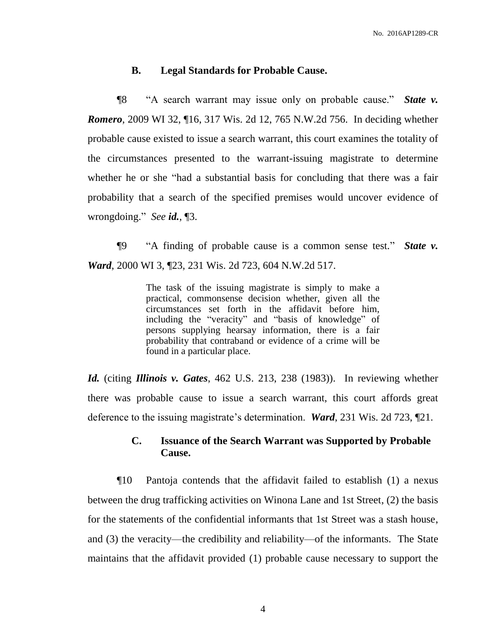## **B. Legal Standards for Probable Cause.**

¶8 "A search warrant may issue only on probable cause." *State v. Romero*, 2009 WI 32, ¶16, 317 Wis. 2d 12, 765 N.W.2d 756. In deciding whether probable cause existed to issue a search warrant, this court examines the totality of the circumstances presented to the warrant-issuing magistrate to determine whether he or she "had a substantial basis for concluding that there was a fair probability that a search of the specified premises would uncover evidence of wrongdoing." *See id.*, ¶3.

¶9 "A finding of probable cause is a common sense test." *State v. Ward*, 2000 WI 3, ¶23, 231 Wis. 2d 723, 604 N.W.2d 517.

> The task of the issuing magistrate is simply to make a practical, commonsense decision whether, given all the circumstances set forth in the affidavit before him, including the "veracity" and "basis of knowledge" of persons supplying hearsay information, there is a fair probability that contraband or evidence of a crime will be found in a particular place.

*Id.* (citing *Illinois v. Gates*, 462 U.S. 213, 238 (1983)). In reviewing whether there was probable cause to issue a search warrant, this court affords great deference to the issuing magistrate's determination. *Ward*, 231 Wis. 2d 723, ¶21.

## **C. Issuance of the Search Warrant was Supported by Probable Cause.**

¶10 Pantoja contends that the affidavit failed to establish (1) a nexus between the drug trafficking activities on Winona Lane and 1st Street, (2) the basis for the statements of the confidential informants that 1st Street was a stash house, and (3) the veracity—the credibility and reliability—of the informants. The State maintains that the affidavit provided (1) probable cause necessary to support the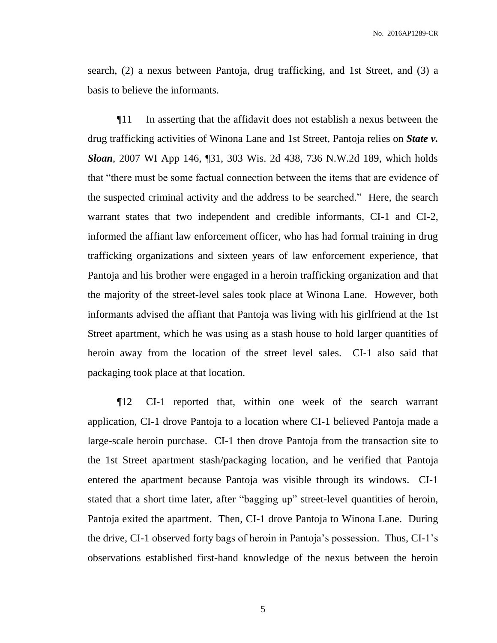search, (2) a nexus between Pantoja, drug trafficking, and 1st Street, and (3) a basis to believe the informants.

¶11 In asserting that the affidavit does not establish a nexus between the drug trafficking activities of Winona Lane and 1st Street, Pantoja relies on *State v. Sloan*, 2007 WI App 146, ¶31, 303 Wis. 2d 438, 736 N.W.2d 189, which holds that "there must be some factual connection between the items that are evidence of the suspected criminal activity and the address to be searched." Here, the search warrant states that two independent and credible informants, CI-1 and CI-2, informed the affiant law enforcement officer, who has had formal training in drug trafficking organizations and sixteen years of law enforcement experience, that Pantoja and his brother were engaged in a heroin trafficking organization and that the majority of the street-level sales took place at Winona Lane. However, both informants advised the affiant that Pantoja was living with his girlfriend at the 1st Street apartment, which he was using as a stash house to hold larger quantities of heroin away from the location of the street level sales. CI-1 also said that packaging took place at that location.

¶12 CI-1 reported that, within one week of the search warrant application, CI-1 drove Pantoja to a location where CI-1 believed Pantoja made a large-scale heroin purchase. CI-1 then drove Pantoja from the transaction site to the 1st Street apartment stash/packaging location, and he verified that Pantoja entered the apartment because Pantoja was visible through its windows. CI-1 stated that a short time later, after "bagging up" street-level quantities of heroin, Pantoja exited the apartment. Then, CI-1 drove Pantoja to Winona Lane. During the drive, CI-1 observed forty bags of heroin in Pantoja's possession. Thus, CI-1's observations established first-hand knowledge of the nexus between the heroin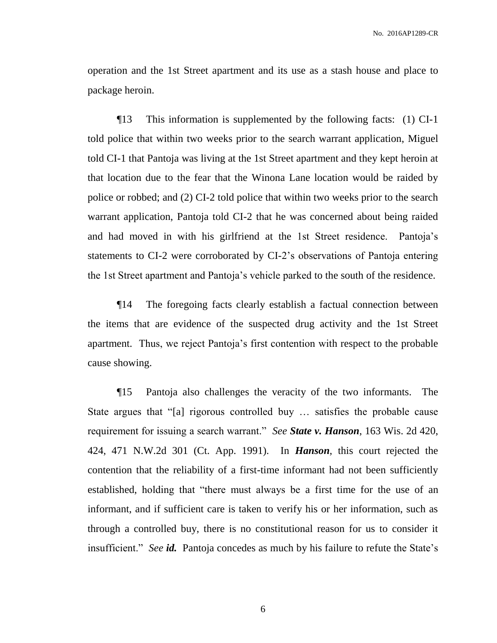operation and the 1st Street apartment and its use as a stash house and place to package heroin.

¶13 This information is supplemented by the following facts: (1) CI-1 told police that within two weeks prior to the search warrant application, Miguel told CI-1 that Pantoja was living at the 1st Street apartment and they kept heroin at that location due to the fear that the Winona Lane location would be raided by police or robbed; and (2) CI-2 told police that within two weeks prior to the search warrant application, Pantoja told CI-2 that he was concerned about being raided and had moved in with his girlfriend at the 1st Street residence. Pantoja's statements to CI-2 were corroborated by CI-2's observations of Pantoja entering the 1st Street apartment and Pantoja's vehicle parked to the south of the residence.

¶14 The foregoing facts clearly establish a factual connection between the items that are evidence of the suspected drug activity and the 1st Street apartment. Thus, we reject Pantoja's first contention with respect to the probable cause showing.

¶15 Pantoja also challenges the veracity of the two informants. The State argues that "[a] rigorous controlled buy … satisfies the probable cause requirement for issuing a search warrant." *See State v. Hanson*, 163 Wis. 2d 420, 424, 471 N.W.2d 301 (Ct. App. 1991). In *Hanson*, this court rejected the contention that the reliability of a first-time informant had not been sufficiently established, holding that "there must always be a first time for the use of an informant, and if sufficient care is taken to verify his or her information, such as through a controlled buy, there is no constitutional reason for us to consider it insufficient." *See id.* Pantoja concedes as much by his failure to refute the State's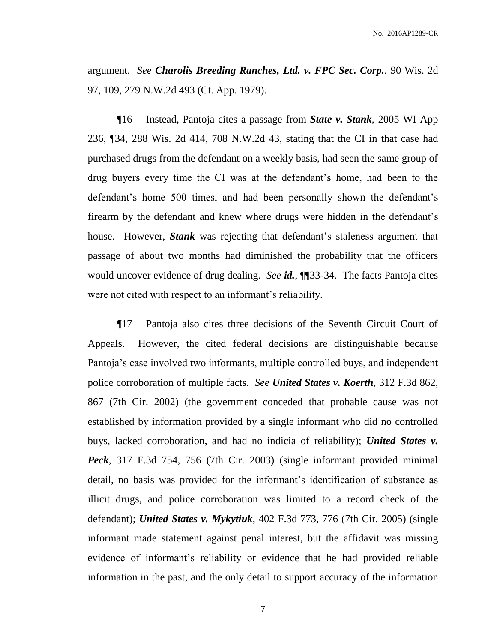argument. *See Charolis Breeding Ranches, Ltd. v. FPC Sec. Corp.*, 90 Wis. 2d 97, 109, 279 N.W.2d 493 (Ct. App. 1979).

¶16 Instead, Pantoja cites a passage from *State v. Stank*, 2005 WI App 236, ¶34, 288 Wis. 2d 414, 708 N.W.2d 43, stating that the CI in that case had purchased drugs from the defendant on a weekly basis, had seen the same group of drug buyers every time the CI was at the defendant's home, had been to the defendant's home 500 times, and had been personally shown the defendant's firearm by the defendant and knew where drugs were hidden in the defendant's house. However, *Stank* was rejecting that defendant's staleness argument that passage of about two months had diminished the probability that the officers would uncover evidence of drug dealing. *See id.*, ¶¶33-34. The facts Pantoja cites were not cited with respect to an informant's reliability.

¶17 Pantoja also cites three decisions of the Seventh Circuit Court of Appeals. However, the cited federal decisions are distinguishable because Pantoja's case involved two informants, multiple controlled buys, and independent police corroboration of multiple facts. *See United States v. Koerth*, 312 F.3d 862, 867 (7th Cir. 2002) (the government conceded that probable cause was not established by information provided by a single informant who did no controlled buys, lacked corroboration, and had no indicia of reliability); *United States v. Peck*, 317 F.3d 754, 756 (7th Cir. 2003) (single informant provided minimal detail, no basis was provided for the informant's identification of substance as illicit drugs, and police corroboration was limited to a record check of the defendant); *United States v. Mykytiuk*, 402 F.3d 773, 776 (7th Cir. 2005) (single informant made statement against penal interest, but the affidavit was missing evidence of informant's reliability or evidence that he had provided reliable information in the past, and the only detail to support accuracy of the information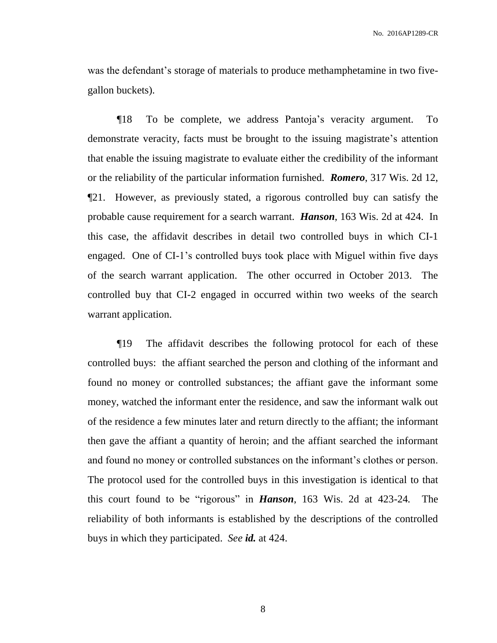was the defendant's storage of materials to produce methamphetamine in two fivegallon buckets).

¶18 To be complete, we address Pantoja's veracity argument. To demonstrate veracity, facts must be brought to the issuing magistrate's attention that enable the issuing magistrate to evaluate either the credibility of the informant or the reliability of the particular information furnished. *Romero*, 317 Wis. 2d 12, ¶21. However, as previously stated, a rigorous controlled buy can satisfy the probable cause requirement for a search warrant. *Hanson*, 163 Wis. 2d at 424. In this case, the affidavit describes in detail two controlled buys in which CI-1 engaged. One of CI-1's controlled buys took place with Miguel within five days of the search warrant application. The other occurred in October 2013. The controlled buy that CI-2 engaged in occurred within two weeks of the search warrant application.

¶19 The affidavit describes the following protocol for each of these controlled buys: the affiant searched the person and clothing of the informant and found no money or controlled substances; the affiant gave the informant some money, watched the informant enter the residence, and saw the informant walk out of the residence a few minutes later and return directly to the affiant; the informant then gave the affiant a quantity of heroin; and the affiant searched the informant and found no money or controlled substances on the informant's clothes or person. The protocol used for the controlled buys in this investigation is identical to that this court found to be "rigorous" in *Hanson*, 163 Wis. 2d at 423-24*.* The reliability of both informants is established by the descriptions of the controlled buys in which they participated. *See id.* at 424.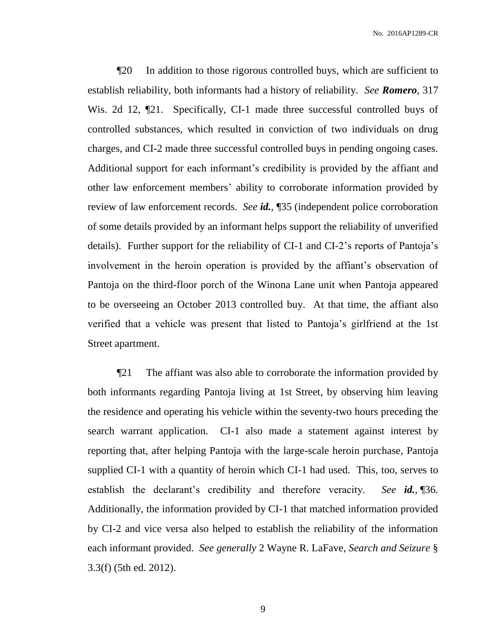¶20 In addition to those rigorous controlled buys, which are sufficient to establish reliability, both informants had a history of reliability. *See Romero*, 317 Wis. 2d 12,  $\mathbb{Z}$ 1. Specifically, CI-1 made three successful controlled buys of controlled substances, which resulted in conviction of two individuals on drug charges, and CI-2 made three successful controlled buys in pending ongoing cases. Additional support for each informant's credibility is provided by the affiant and other law enforcement members' ability to corroborate information provided by review of law enforcement records. *See id.*, ¶35 (independent police corroboration of some details provided by an informant helps support the reliability of unverified details). Further support for the reliability of CI-1 and CI-2's reports of Pantoja's involvement in the heroin operation is provided by the affiant's observation of Pantoja on the third-floor porch of the Winona Lane unit when Pantoja appeared to be overseeing an October 2013 controlled buy. At that time, the affiant also verified that a vehicle was present that listed to Pantoja's girlfriend at the 1st Street apartment.

¶21 The affiant was also able to corroborate the information provided by both informants regarding Pantoja living at 1st Street, by observing him leaving the residence and operating his vehicle within the seventy-two hours preceding the search warrant application. CI-1 also made a statement against interest by reporting that, after helping Pantoja with the large-scale heroin purchase, Pantoja supplied CI-1 with a quantity of heroin which CI-1 had used. This, too, serves to establish the declarant's credibility and therefore veracity. *See id.*, ¶36. Additionally, the information provided by CI-1 that matched information provided by CI-2 and vice versa also helped to establish the reliability of the information each informant provided. *See generally* 2 Wayne R. LaFave, *Search and Seizure* § 3.3(f) (5th ed. 2012).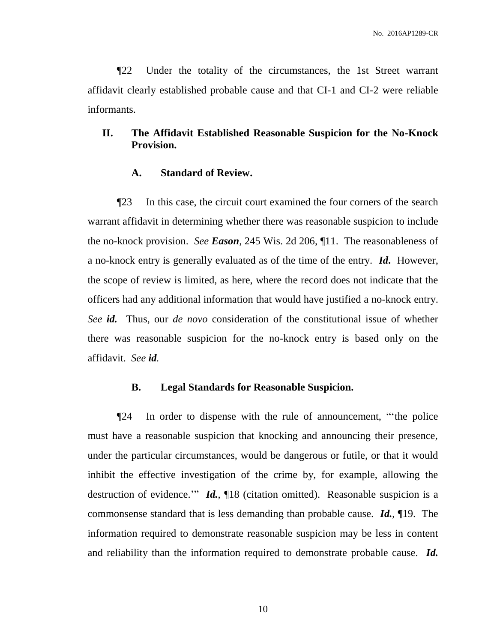¶22 Under the totality of the circumstances, the 1st Street warrant affidavit clearly established probable cause and that CI-1 and CI-2 were reliable informants.

# **II. The Affidavit Established Reasonable Suspicion for the No-Knock Provision.**

## **A. Standard of Review.**

¶23 In this case, the circuit court examined the four corners of the search warrant affidavit in determining whether there was reasonable suspicion to include the no-knock provision. *See Eason*, 245 Wis. 2d 206, ¶11. The reasonableness of a no-knock entry is generally evaluated as of the time of the entry. *Id***.** However, the scope of review is limited, as here, where the record does not indicate that the officers had any additional information that would have justified a no-knock entry. *See id.* Thus, our *de novo* consideration of the constitutional issue of whether there was reasonable suspicion for the no-knock entry is based only on the affidavit. *See id.* 

#### **B. Legal Standards for Reasonable Suspicion.**

¶24 In order to dispense with the rule of announcement, "'the police must have a reasonable suspicion that knocking and announcing their presence, under the particular circumstances, would be dangerous or futile, or that it would inhibit the effective investigation of the crime by, for example, allowing the destruction of evidence.'" *Id.*, ¶18 (citation omitted). Reasonable suspicion is a commonsense standard that is less demanding than probable cause. *Id.*, ¶19. The information required to demonstrate reasonable suspicion may be less in content and reliability than the information required to demonstrate probable cause. *Id.*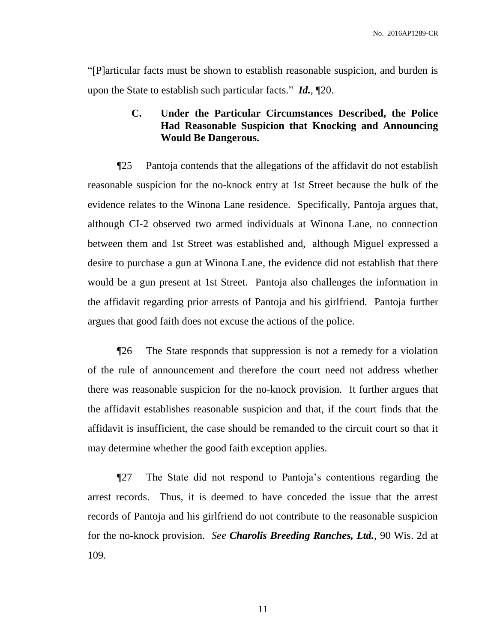"[P]articular facts must be shown to establish reasonable suspicion, and burden is upon the State to establish such particular facts." *Id.*, ¶20.

# **C. Under the Particular Circumstances Described, the Police Had Reasonable Suspicion that Knocking and Announcing Would Be Dangerous.**

¶25 Pantoja contends that the allegations of the affidavit do not establish reasonable suspicion for the no-knock entry at 1st Street because the bulk of the evidence relates to the Winona Lane residence. Specifically, Pantoja argues that, although CI-2 observed two armed individuals at Winona Lane, no connection between them and 1st Street was established and, although Miguel expressed a desire to purchase a gun at Winona Lane, the evidence did not establish that there would be a gun present at 1st Street. Pantoja also challenges the information in the affidavit regarding prior arrests of Pantoja and his girlfriend. Pantoja further argues that good faith does not excuse the actions of the police.

¶26 The State responds that suppression is not a remedy for a violation of the rule of announcement and therefore the court need not address whether there was reasonable suspicion for the no-knock provision. It further argues that the affidavit establishes reasonable suspicion and that, if the court finds that the affidavit is insufficient, the case should be remanded to the circuit court so that it may determine whether the good faith exception applies.

¶27 The State did not respond to Pantoja's contentions regarding the arrest records. Thus, it is deemed to have conceded the issue that the arrest records of Pantoja and his girlfriend do not contribute to the reasonable suspicion for the no-knock provision. *See Charolis Breeding Ranches, Ltd.*, 90 Wis. 2d at 109.